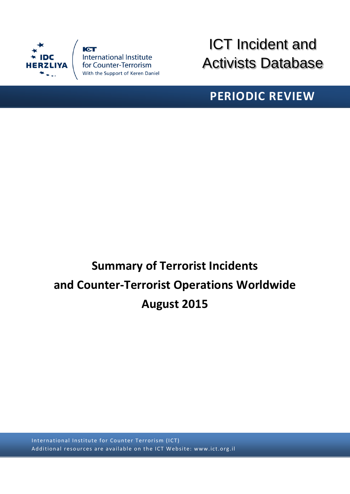

**I**CT International Institute for Counter-Terrorism With the Support of Keren Daniel

ICT Incident and Activists Database

# **PERIODIC REVIEW**

# **Summary of Terrorist Incidents and Counter-Terrorist Operations Worldwide August 2015**

International Institute for Counter Terrorism (ICT) Additional resources are available on the ICT Website: www.ict.org.il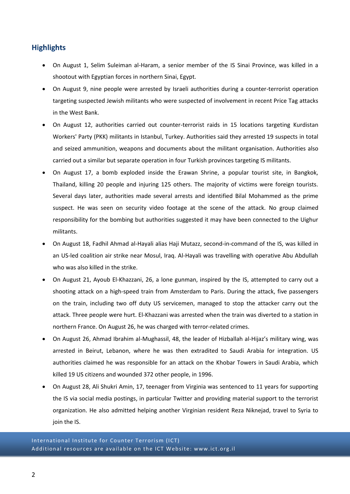# **Highlights**

- On August 1, Selim Suleiman al-Haram, a senior member of the IS Sinai Province, was killed in a shootout with Egyptian forces in northern Sinai, Egypt.
- On August 9, nine people were arrested by Israeli authorities during a counter-terrorist operation targeting suspected Jewish militants who were suspected of involvement in recent Price Tag attacks in the West Bank.
- On August 12, authorities carried out counter-terrorist raids in 15 locations targeting Kurdistan Workers' Party (PKK) militants in Istanbul, Turkey. Authorities said they arrested 19 suspects in total and seized ammunition, weapons and documents about the militant organisation. Authorities also carried out a similar but separate operation in four Turkish provinces targeting IS militants.
- On August 17, a bomb exploded inside the Erawan Shrine, a popular tourist site, in Bangkok, Thailand, killing 20 people and injuring 125 others. The majority of victims were foreign tourists. Several days later, authorities made several arrests and identified Bilal Mohammed as the prime suspect. He was seen on security video footage at the scene of the attack. No group claimed responsibility for the bombing but authorities suggested it may have been connected to the Uighur militants.
- On August 18, Fadhil Ahmad al-Hayali alias Haji Mutazz, second-in-command of the IS, was killed in an US-led coalition air strike near Mosul, Iraq. Al-Hayali was travelling with operative Abu Abdullah who was also killed in the strike.
- On August 21, Ayoub El-Khazzani, 26, a lone gunman, inspired by the IS, attempted to carry out a shooting attack on a high-speed train from Amsterdam to Paris. During the attack, five passengers on the train, including two off duty US servicemen, managed to stop the attacker carry out the attack. Three people were hurt. El-Khazzani was arrested when the train was diverted to a station in northern France. On August 26, he was charged with terror-related crimes.
- On August 26, Ahmad Ibrahim al-Mughassil, 48, the leader of Hizballah al-Hijaz's military wing, was arrested in Beirut, Lebanon, where he was then extradited to Saudi Arabia for integration. US authorities claimed he was responsible for an attack on the Khobar Towers in Saudi Arabia, which killed 19 US citizens and wounded 372 other people, in 1996.
- On August 28, Ali Shukri Amin, 17, teenager from Virginia was sentenced to 11 years for supporting the IS via social media postings, in particular Twitter and providing material support to the terrorist organization. He also admitted helping another Virginian resident Reza Niknejad, travel to Syria to join the IS.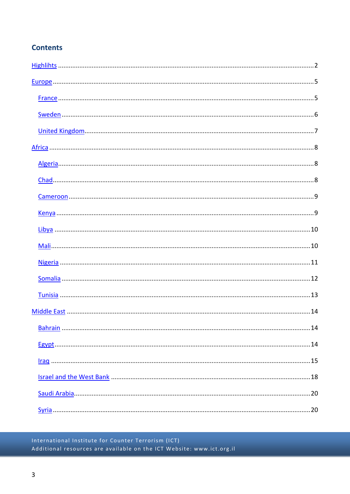# **Contents**

International Institute for Counter Terrorism (ICT)<br>Additional resources are available on the ICT Website: www.ict.org.il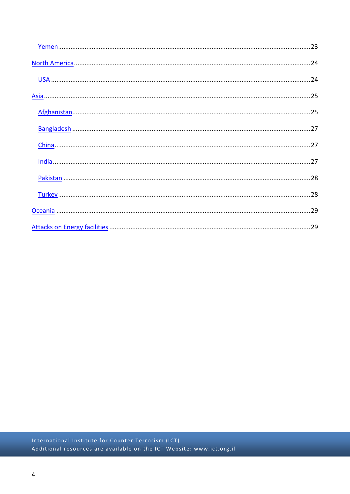International Institute for Counter Terrorism (ICT)<br>Additional resources are available on the ICT Website: www.ict.org.il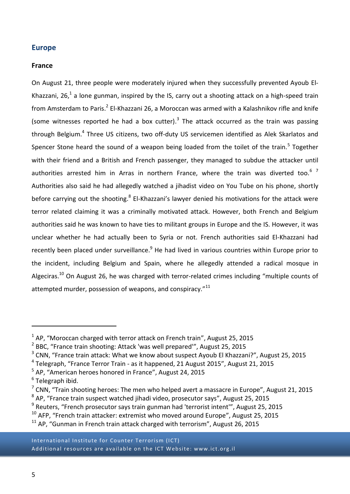#### **Europe**

#### **France**

On August 21, three people were moderately injured when they successfully prevented Ayoub El-Khazzani, 26,<sup>1</sup> a lone gunman, inspired by the IS, carry out a shooting attack on a high-speed train from Amsterdam to Paris.<sup>2</sup> El-Khazzani 26, a Moroccan was armed with a Kalashnikov rifle and knife (some witnesses reported he had a box cutter). $3$  The attack occurred as the train was passing through Belgium.<sup>4</sup> Three US citizens, two off-duty US servicemen identified as Alek Skarlatos and Spencer Stone heard the sound of a weapon being loaded from the toilet of the train.<sup>5</sup> Together with their friend and a British and French passenger, they managed to subdue the attacker until authorities arrested him in Arras in northern France, where the train was diverted too.<sup>6</sup> Authorities also said he had allegedly watched a jihadist video on You Tube on his phone, shortly before carrying out the shooting.<sup>8</sup> El-Khazzani's lawyer denied his motivations for the attack were terror related claiming it was a criminally motivated attack. However, both French and Belgium authorities said he was known to have ties to militant groups in Europe and the IS. However, it was unclear whether he had actually been to Syria or not. French authorities said El-Khazzani had recently been placed under surveillance.<sup>9</sup> He had lived in various countries within Europe prior to the incident, including Belgium and Spain, where he allegedly attended a radical mosque in Algeciras.<sup>10</sup> On August 26, he was charged with terror-related crimes including "multiple counts of attempted murder, possession of weapons, and conspiracy."<sup>11</sup>

 $<sup>1</sup>$  AP, "Moroccan charged with terror attack on French train", August 25, 2015</sup>

<sup>&</sup>lt;sup>2</sup> BBC, "France train shooting: Attack 'was well prepared'", August 25, 2015

<sup>&</sup>lt;sup>3</sup> CNN, "France train attack: What we know about suspect Ayoub El Khazzani?", August 25, 2015

<sup>&</sup>lt;sup>4</sup> Telegraph, "France Terror Train - as it happened, 21 August 2015", August 21, 2015

<sup>&</sup>lt;sup>5</sup> AP, "American heroes honored in France", August 24, 2015

<sup>&</sup>lt;sup>6</sup> Telegraph ibid.

 $^7$  CNN, "Train shooting heroes: The men who helped avert a massacre in Europe", August 21, 2015

<sup>&</sup>lt;sup>8</sup> AP, "France train suspect watched jihadi video, prosecutor says", August 25, 2015

<sup>&</sup>lt;sup>9</sup> Reuters, "French prosecutor says train gunman had 'terrorist intent'", August 25, 2015

 $10$  AFP, "French train attacker: extremist who moved around Europe", August 25, 2015

 $11$  AP, "Gunman in French train attack charged with terrorism", August 26, 2015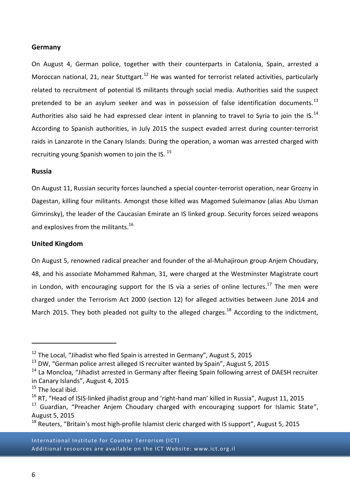#### **Germany**

On August 4, German police, together with their counterparts in Catalonia, Spain, arrested a Moroccan national, 21, near Stuttgart.<sup>12</sup> He was wanted for terrorist related activities, particularly related to recruitment of potential IS militants through social media. Authorities said the suspect pretended to be an asylum seeker and was in possession of false identification documents.<sup>13</sup> Authorities also said he had expressed clear intent in planning to travel to Syria to join the IS.<sup>14</sup> According to Spanish authorities, in July 2015 the suspect evaded arrest during counter-terrorist raids in Lanzarote in the Canary Islands. During the operation, a woman was arrested charged with recruiting young Spanish women to join the IS. <sup>15</sup>

#### **Russia**

On August 11, Russian security forces launched a special counter-terrorist operation, near Grozny in Dagestan, killing four militants. Amongst those killed was Magomed Suleimanov (alias Abu Usman Gimrinsky), the leader of the Caucasian Emirate an IS linked group. Security forces seized weapons and explosives from the militants.<sup>16</sup>

#### **United Kingdom**

On August 5, renowned radical preacher and founder of the al-Muhajiroun group Anjem Choudary, 48, and his associate Mohammed Rahman, 31, were charged at the Westminster Magistrate court in London, with encouraging support for the IS via a series of online lectures.<sup>17</sup> The men were charged under the Terrorism Act 2000 (section 12) for alleged activities between June 2014 and March 2015. They both pleaded not guilty to the alleged charges.<sup>18</sup> According to the indictment,

 $12$  The Local, "Jihadist who fled Spain is arrested in Germany", August 5, 2015

 $13$  DW, "German police arrest alleged IS recruiter wanted by Spain", August 5, 2015

<sup>&</sup>lt;sup>14</sup> La Moncloa, "Jihadist arrested in Germany after fleeing Spain following arrest of DAESH recruiter in Canary Islands", August 4, 2015

 $15$  The local ibid.

<sup>&</sup>lt;sup>16</sup> RT, "Head of ISIS-linked jihadist group and 'right-hand man' killed in Russia", August 11, 2015

<sup>&</sup>lt;sup>17</sup> Guardian, "Preacher Anjem Choudary charged with encouraging support for Islamic State", August 5, 2015

<sup>&</sup>lt;sup>18</sup> Reuters, "Britain's most high-profile Islamist cleric charged with IS support", August 5, 2015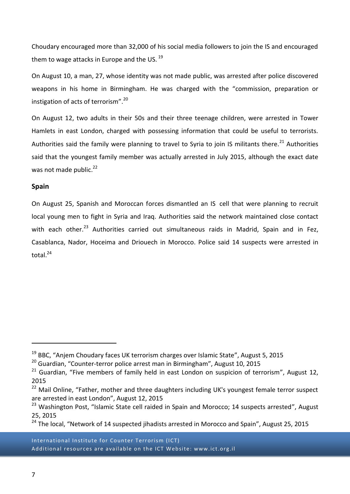Choudary encouraged more than 32,000 of his social media followers to join the IS and encouraged them to wage attacks in Europe and the US.  $^{19}$ 

On August 10, a man, 27, whose identity was not made public, was arrested after police discovered weapons in his home in Birmingham. He was charged with the "commission, preparation or instigation of acts of terrorism". 20

On August 12, two adults in their 50s and their three teenage children, were arrested in Tower Hamlets in east London, charged with possessing information that could be useful to terrorists. Authorities said the family were planning to travel to Syria to join IS militants there.<sup>21</sup> Authorities said that the youngest family member was actually arrested in July 2015, although the exact date was not made public.<sup>22</sup>

#### **Spain**

On August 25, Spanish and Moroccan forces dismantled an IS cell that were planning to recruit local young men to fight in Syria and Iraq. Authorities said the network maintained close contact with each other.<sup>23</sup> Authorities carried out simultaneous raids in Madrid, Spain and in Fez, Casablanca, Nador, Hoceima and Driouech in Morocco. Police said 14 suspects were arrested in total. 24

 $19$  BBC, "Anjem Choudary faces UK terrorism charges over Islamic State", August 5, 2015

<sup>&</sup>lt;sup>20</sup> Guardian, "Counter-terror police arrest man in Birmingham", August 10, 2015

 $21$  Guardian, "Five members of family held in east London on suspicion of terrorism", August 12, 2015

<sup>&</sup>lt;sup>22</sup> Mail Online, "Father, mother and three daughters including UK's youngest female terror suspect are arrested in east London", August 12, 2015

<sup>&</sup>lt;sup>23</sup> Washington Post, "Islamic State cell raided in Spain and Morocco; 14 suspects arrested", August 25, 2015

<sup>&</sup>lt;sup>24</sup> The local, "Network of 14 suspected jihadists arrested in Morocco and Spain", August 25, 2015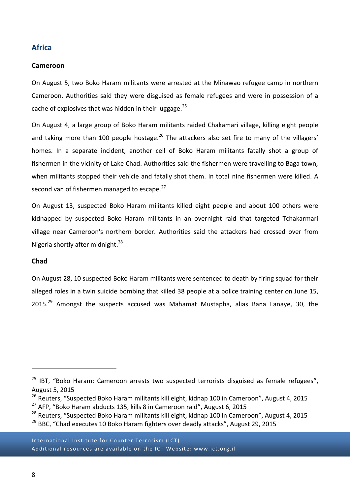# **Africa**

#### **Cameroon**

On August 5, two Boko Haram militants were arrested at the Minawao refugee camp in northern Cameroon. Authorities said they were disguised as female refugees and were in possession of a cache of explosives that was hidden in their luggage.<sup>25</sup>

On August 4, a large group of Boko Haram militants raided Chakamari village, killing eight people and taking more than 100 people hostage.<sup>26</sup> The attackers also set fire to many of the villagers' homes. In a separate incident, another cell of Boko Haram militants fatally shot a group of fishermen in the vicinity of Lake Chad. Authorities said the fishermen were travelling to Baga town, when militants stopped their vehicle and fatally shot them. In total nine fishermen were killed. A second van of fishermen managed to escape.<sup>27</sup>

On August 13, suspected Boko Haram militants killed eight people and about 100 others were kidnapped by suspected Boko Haram militants in an overnight raid that targeted Tchakarmari village near Cameroon's northern border. Authorities said the attackers had crossed over from Nigeria shortly after midnight.<sup>28</sup>

#### **Chad**

On August 28, 10 suspected Boko Haram militants were sentenced to death by firing squad for their alleged roles in a twin suicide bombing that killed 38 people at a police training center on June 15, 2015.<sup>29</sup> Amongst the suspects accused was Mahamat Mustapha, alias Bana Fanaye, 30, the

- <sup>26</sup> Reuters, "Suspected Boko Haram militants kill eight, kidnap 100 in Cameroon", August 4, 2015
- $27$  AFP, "Boko Haram abducts 135, kills 8 in Cameroon raid", August 6, 2015
- <sup>28</sup> Reuters, "Suspected Boko Haram militants kill eight, kidnap 100 in Cameroon", August 4, 2015

 $25$  IBT, "Boko Haram: Cameroon arrests two suspected terrorists disguised as female refugees", August 5, 2015

 $29$  BBC, "Chad executes 10 Boko Haram fighters over deadly attacks", August 29, 2015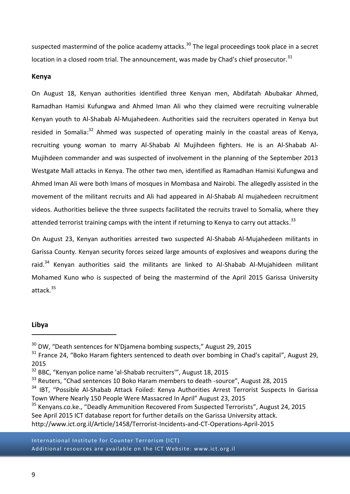suspected mastermind of the police academy attacks.<sup>30</sup> The legal proceedings took place in a secret location in a closed room trial. The announcement, was made by Chad's chief prosecutor. $31$ 

#### **Kenya**

On August 18, Kenyan authorities identified three Kenyan men, Abdifatah Abubakar Ahmed, Ramadhan Hamisi Kufungwa and Ahmed Iman Ali who they claimed were recruiting vulnerable Kenyan youth to Al-Shabab Al-Mujahedeen. Authorities said the recruiters operated in Kenya but resided in Somalia:<sup>32</sup> Ahmed was suspected of operating mainly in the coastal areas of Kenya, recruiting young woman to marry Al-Shabab Al Mujihdeen fighters. He is an Al-Shabab Al-Mujihdeen commander and was suspected of involvement in the planning of the September 2013 Westgate Mall attacks in Kenya. The other two men, identified as Ramadhan Hamisi Kufungwa and Ahmed Iman Ali were both Imans of mosques in Mombasa and Nairobi. The allegedly assisted in the movement of the militant recruits and Ali had appeared in Al-Shabab Al mujahedeen recruitment videos. Authorities believe the three suspects facilitated the recruits travel to Somalia, where they attended terrorist training camps with the intent if returning to Kenya to carry out attacks.<sup>33</sup>

On August 23, Kenyan authorities arrested two suspected Al-Shabab Al-Mujahedeen militants in Garissa County. Kenyan security forces seized large amounts of explosives and weapons during the raid.<sup>34</sup> Kenyan authorities said the militants are linked to Al-Shabab Al-Mujahideen militant Mohamed Kuno who is suspected of being the mastermind of the April 2015 Garissa University attack.<sup>35</sup>

#### **Libya**

<sup>&</sup>lt;sup>30</sup> DW, "Death sentences for N'Djamena bombing suspects," August 29, 2015

 $31$  France 24, "Boko Haram fighters sentenced to death over bombing in Chad's capital", August 29, 2015

<sup>&</sup>lt;sup>32</sup> BBC, "Kenyan police name 'al-Shabab recruiters", August 18, 2015

<sup>&</sup>lt;sup>33</sup> Reuters, "Chad sentences 10 Boko Haram members to death -source", August 28, 2015

<sup>&</sup>lt;sup>34</sup> IBT, "Possible Al-Shabab Attack Foiled: Kenya Authorities Arrest Terrorist Suspects In Garissa Town Where Nearly 150 People Were Massacred In April" August 23, 2015

<sup>&</sup>lt;sup>35</sup> Kenyans.co.ke., "Deadly Ammunition Recovered From Suspected Terrorists", August 24, 2015 See April 2015 ICT database report for further details on the Garissa University attack. http://www.ict.org.il/Article/1458/Terrorist-Incidents-and-CT-Operations-April-2015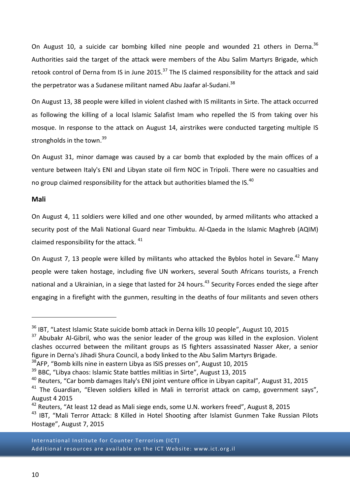On August 10, a suicide car bombing killed nine people and wounded 21 others in Derna.<sup>36</sup> Authorities said the target of the attack were members of the Abu Salim Martyrs Brigade, which retook control of Derna from IS in June 2015.<sup>37</sup> The IS claimed responsibility for the attack and said the perpetrator was a Sudanese militant named Abu Jaafar al-Sudani.<sup>38</sup>

On August 13, 38 people were killed in violent clashed with IS militants in Sirte. The attack occurred as following the killing of a local Islamic Salafist Imam who repelled the IS from taking over his mosque. In response to the attack on August 14, airstrikes were conducted targeting multiple IS strongholds in the town. 39

On August 31, minor damage was caused by a car bomb that exploded by the main offices of a venture between Italy's ENI and Libyan state oil firm NOC in Tripoli. There were no casualties and no group claimed responsibility for the attack but authorities blamed the IS.<sup>40</sup>

#### **Mali**

l

On August 4, 11 soldiers were killed and one other wounded, by armed militants who attacked a security post of the Mali National Guard near Timbuktu. Al-Qaeda in the Islamic Maghreb (AQIM) claimed responsibility for the attack.<sup>41</sup>

On August 7, 13 people were killed by militants who attacked the Byblos hotel in Sevare.<sup>42</sup> Many people were taken hostage, including five UN workers, several South Africans tourists, a French national and a Ukrainian, in a siege that lasted for 24 hours.<sup>43</sup> Security Forces ended the siege after engaging in a firefight with the gunmen, resulting in the deaths of four militants and seven others

<sup>&</sup>lt;sup>36</sup> IBT, "Latest Islamic State suicide bomb attack in Derna kills 10 people", August 10, 2015

<sup>&</sup>lt;sup>37</sup> Abubakr Al-Gibril, who was the senior leader of the group was killed in the explosion. Violent clashes occurred between the militant groups as IS fighters assassinated Nasser Aker, a senior figure in Derna's Jihadi Shura Council, a body linked to the Abu Salim Martyrs Brigade.

<sup>&</sup>lt;sup>38</sup>AFP, "Bomb kills nine in eastern Libya as ISIS presses on", August 10, 2015

 $39$  BBC, "Libya chaos: Islamic State battles militias in Sirte", August 13, 2015

<sup>&</sup>lt;sup>40</sup> Reuters, "Car bomb damages Italy's ENI joint venture office in Libyan capital", August 31, 2015

 $41$  The Guardian, "Eleven soldiers killed in Mali in terrorist attack on camp, government says", August 4 2015

<sup>&</sup>lt;sup>42</sup> Reuters, "At least 12 dead as Mali siege ends, some U.N. workers freed", August 8, 2015

<sup>&</sup>lt;sup>43</sup> IBT, "Mali Terror Attack: 8 Killed in Hotel Shooting after Islamist Gunmen Take Russian Pilots Hostage", August 7, 2015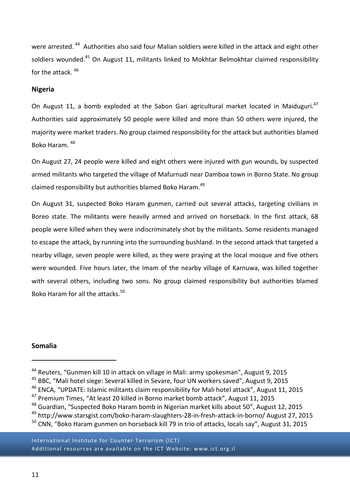were arrested.<sup>44</sup> Authorities also said four Malian soldiers were killed in the attack and eight other soldiers wounded.<sup>45</sup> On August 11, militants linked to Mokhtar Belmokhtar claimed responsibility for the attack.<sup>46</sup>

#### **Nigeria**

On August 11, a bomb exploded at the Sabon Gari agricultural market located in Maiduguri.<sup>47</sup> Authorities said approximately 50 people were killed and more than 50 others were injured, the majority were market traders.No group claimed responsibility for the attack but authorities blamed Boko Haram. 48

On August 27, 24 people were killed and eight others were injured with gun wounds, by suspected armed militants who targeted the village of Mafurnudi near Damboa town in Borno State. No group claimed responsibility but authorities blamed Boko Haram.<sup>49</sup>

On August 31, suspected Boko Haram gunmen, carried out several attacks, targeting civilians in Boreo state. The militants were heavily armed and arrived on horseback. In the first attack, 68 people were killed when they were indiscriminately shot by the militants. Some residents managed to escape the attack, by running into the surrounding bushland. In the second attack that targeted a nearby village, seven people were killed, as they were praying at the local mosque and five others were wounded. Five hours later, the Imam of the nearby village of Karnuwa, was killed together with several others, including two sons. No group claimed responsibility but authorities blamed Boko Haram for all the attacks.<sup>50</sup>

#### **Somalia**

 $\overline{a}$ 

- <sup>44</sup> Reuters, "Gunmen kill 10 in attack on village in Mali: army spokesman", August 9, 2015 <sup>45</sup> BBC, "Mali hotel siege: Several killed in Sevare, four UN workers saved", August 9, 2015
- $46$  ENCA, "UPDATE: Islamic militants claim responsibility for Mali hotel attack", August 11, 2015
- $47$  Premium Times, "At least 20 killed in Borno market bomb attack", August 11, 2015
- <sup>48</sup> Guardian, "Suspected Boko Haram bomb in Nigerian market kills about 50", August 12, 2015
- <sup>49</sup> http://www.starsgist.com/boko-haram-slaughters-28-in-fresh-attack-in-borno/ August 27, 2015
- <sup>50</sup> CNN, "Boko Haram gunmen on horseback kill 79 in trio of attacks, locals say", August 31, 2015

International Institute for Counter Terrorism (ICT) Additional resources are available on the ICT Website: www.ict.org.il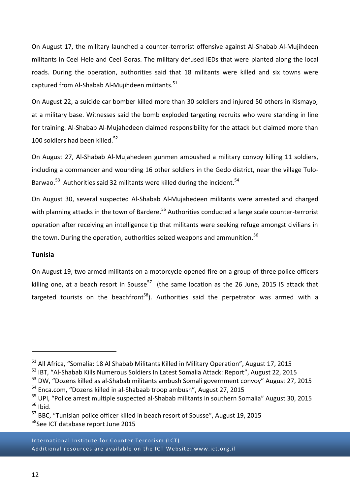On August 17, the military launched a counter-terrorist offensive against Al-Shabab Al-Mujihdeen militants in Ceel Hele and Ceel Goras. The military defused IEDs that were planted along the local roads. During the operation, authorities said that 18 militants were killed and six towns were captured from Al-Shabab Al-Mujihdeen militants.<sup>51</sup>

On August 22, a suicide car bomber killed more than 30 soldiers and injured 50 others in Kismayo, at a military base. Witnesses said the bomb exploded targeting recruits who were standing in line for training. Al-Shabab Al-Mujahedeen claimed responsibility for the attack but claimed more than 100 soldiers had been killed. $52$ 

On August 27, Al-Shabab Al-Mujahedeen gunmen ambushed a military convoy killing 11 soldiers, including a commander and wounding 16 other soldiers in the Gedo district, near the village Tulo-Barwao.<sup>53</sup> Authorities said 32 militants were killed during the incident.<sup>54</sup>

On August 30, several suspected Al-Shabab Al-Mujahedeen militants were arrested and charged with planning attacks in the town of Bardere.<sup>55</sup> Authorities conducted a large scale counter-terrorist operation after receiving an intelligence tip that militants were seeking refuge amongst civilians in the town. During the operation, authorities seized weapons and ammunition.<sup>56</sup>

#### **Tunisia**

On August 19, two armed militants on a motorcycle opened fire on a group of three police officers killing one, at a beach resort in Sousse<sup>57</sup> (the same location as the 26 June, 2015 IS attack that targeted tourists on the beachfront<sup>58</sup>). Authorities said the perpetrator was armed with a

<sup>51</sup> All Africa, "Somalia: 18 Al Shabab Militants Killed in Military Operation", August 17, 2015

<sup>&</sup>lt;sup>52</sup> IBT, "Al-Shabab Kills Numerous Soldiers In Latest Somalia Attack: Report", August 22, 2015

<sup>&</sup>lt;sup>53</sup> DW, "Dozens killed as al-Shabab militants ambush Somali government convoy" August 27, 2015

<sup>54</sup> Enca.com, "Dozens killed in al-Shabaab troop ambush", August 27, 2015

<sup>&</sup>lt;sup>55</sup> UPI, "Police arrest multiple suspected al-Shabab militants in southern Somalia" August 30, 2015  $56$  Ibid.

<sup>57</sup> BBC, "Tunisian police officer killed in beach resort of Sousse", August 19, 2015 <sup>58</sup>See ICT database report June 2015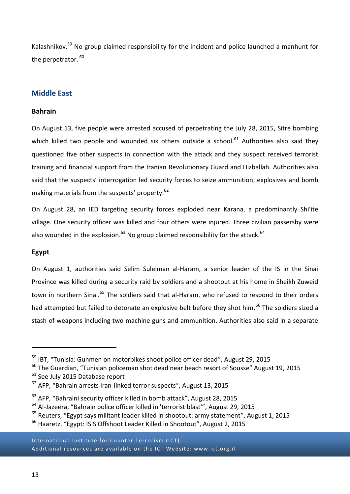Kalashnikov.<sup>59</sup> No group claimed responsibility for the incident and police launched a manhunt for the perpetrator.<sup>60</sup>

# **Middle East**

### **Bahrain**

On August 13, five people were arrested accused of perpetrating the July 28, 2015, Sitre bombing which killed two people and wounded six others outside a school.<sup>61</sup> Authorities also said they questioned five other suspects in connection with the attack and they suspect received terrorist training and financial support from the Iranian Revolutionary Guard and Hizballah. Authorities also said that the suspects' interrogation led security forces to seize ammunition, explosives and bomb making materials from the suspects' property.<sup>62</sup>

On August 28, an IED targeting security forces exploded near Karana, a predominantly Shi'ite village. One security officer was killed and four others were injured. Three civilian passersby were also wounded in the explosion.<sup>63</sup> No group claimed responsibility for the attack.<sup>64</sup>

# **Egypt**

l

On August 1, authorities said Selim Suleiman al-Haram, a senior leader of the IS in the Sinai Province was killed during a security raid by soldiers and a shootout at his home in Sheikh Zuweid town in northern Sinai.<sup>65</sup> The soldiers said that al-Haram, who refused to respond to their orders had attempted but failed to detonate an explosive belt before they shot him.<sup>66</sup> The soldiers sized a stash of weapons including two machine guns and ammunition. Authorities also said in a separate

<sup>&</sup>lt;sup>59</sup> IBT, "Tunisia: Gunmen on motorbikes shoot police officer dead", August 29, 2015

 $^{60}$  The Guardian, "Tunisian policeman shot dead near beach resort of Sousse" August 19, 2015

<sup>&</sup>lt;sup>61</sup> See July 2015 Database report

 $62$  AFP, "Bahrain arrests Iran-linked terror suspects", August 13, 2015

 $63$  AFP, "Bahraini security officer killed in bomb attack", August 28, 2015

<sup>&</sup>lt;sup>64</sup> Al-Jazeera, "Bahrain police officer killed in 'terrorist blast'", August 29, 2015

<sup>&</sup>lt;sup>65</sup> Reuters, "Egypt says militant leader killed in shootout: army statement", August 1, 2015

<sup>&</sup>lt;sup>66</sup> Haaretz, "Egypt: ISIS Offshoot Leader Killed in Shootout", August 2, 2015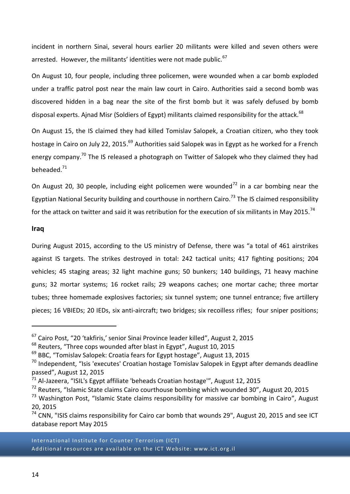incident in northern Sinai, several hours earlier 20 militants were killed and seven others were arrested. However, the militants' identities were not made public.<sup>67</sup>

On August 10, four people, including three policemen, were wounded when a car bomb exploded under a traffic patrol post near the main law court in Cairo. Authorities said a second bomb was discovered hidden in a bag near the site of the first bomb but it was safely defused by bomb disposal experts. Ajnad Misr (Soldiers of Egypt) militants claimed responsibility for the attack.<sup>68</sup>

On August 15, the IS claimed they had killed Tomislav Salopek, a Croatian citizen, who they took hostage in Cairo on July 22, 2015.<sup>69</sup> Authorities said Salopek was in Egypt as he worked for a French energy company.<sup>70</sup> The IS released a photograph on Twitter of Salopek who they claimed they had beheaded.<sup>71</sup>

On August 20, 30 people, including eight policemen were wounded<sup>72</sup> in a car bombing near the Egyptian National Security building and courthouse in northern Cairo.<sup>73</sup> The IS claimed responsibility for the attack on twitter and said it was retribution for the execution of six militants in May 2015.<sup>74</sup>

#### **Iraq**

 $\overline{a}$ 

During August 2015, according to the US ministry of Defense, there was "a total of 461 airstrikes against IS targets. The strikes destroyed in total: 242 tactical units; 417 fighting positions; 204 vehicles; 45 staging areas; 32 light machine guns; 50 bunkers; 140 buildings, 71 heavy machine guns; 32 mortar systems; 16 rocket rails; 29 weapons caches; one mortar cache; three mortar tubes; three homemade explosives factories; six tunnel system; one tunnel entrance; five artillery pieces; 16 VBIEDs; 20 IEDs, six anti-aircraft; two bridges; six recoilless rifles; four sniper positions;

<sup>67</sup> Cairo Post, "20 'takfiris,' senior Sinai Province leader killed", August 2, 2015

 $68$  Reuters, "Three cops wounded after blast in Egypt", August 10, 2015

<sup>&</sup>lt;sup>69</sup> BBC. "Tomislav Salopek: Croatia fears for Egypt hostage", August 13, 2015

 $70$  Independent, "Isis 'executes' Croatian hostage Tomislav Salopek in Egypt after demands deadline passed", August 12, 2015

 $^{71}$  Al-Jazeera, "ISIL's Egypt affiliate 'beheads Croatian hostage'", August 12, 2015

 $72$  Reuters, "Islamic State claims Cairo courthouse bombing which wounded 30", August 20, 2015

<sup>&</sup>lt;sup>73</sup> Washington Post, "Islamic State claims responsibility for massive car bombing in Cairo", August 20, 2015

<sup>&</sup>lt;sup>74</sup> CNN, "ISIS claims responsibility for Cairo car bomb that wounds 29", August 20, 2015 and see ICT database report May 2015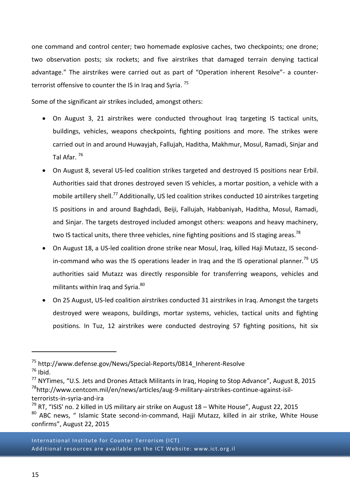one command and control center; two homemade explosive caches, two checkpoints; one drone; two observation posts; six rockets; and five airstrikes that damaged terrain denying tactical advantage." The airstrikes were carried out as part of "Operation inherent Resolve"- a counterterrorist offensive to counter the IS in Iraq and Syria. <sup>75</sup>

Some of the significant air strikes included, amongst others:

- On August 3, 21 airstrikes were conducted throughout Iraq targeting IS tactical units, buildings, vehicles, weapons checkpoints, fighting positions and more. The strikes were carried out in and around Huwayjah, Fallujah, Haditha, Makhmur, Mosul, Ramadi, Sinjar and Tal Afar.<sup>76</sup>
- On August 8, several US-led coalition strikes targeted and destroyed IS positions near Erbil. Authorities said that drones destroyed seven IS vehicles, a mortar position, a vehicle with a mobile artillery shell.<sup>77</sup> Additionally, US led coalition strikes conducted 10 airstrikes targeting IS positions in and around Baghdadi, Beiji, Fallujah, Habbaniyah, Haditha, Mosul, Ramadi, and Sinjar. The targets destroyed included amongst others: weapons and heavy machinery, two IS tactical units, there three vehicles, nine fighting positions and IS staging areas.<sup>78</sup>
- On August 18, a US-led coalition drone strike near Mosul, Iraq, killed Haji Mutazz, IS secondin-command who was the IS operations leader in Iraq and the IS operational planner.<sup>79</sup> US authorities said Mutazz was directly responsible for transferring weapons, vehicles and militants within Iraq and Syria.<sup>80</sup>
- On 25 August, US-led coalition airstrikes conducted 31 airstrikes in Iraq. Amongst the targets destroyed were weapons, buildings, mortar systems, vehicles, tactical units and fighting positions. In Tuz, 12 airstrikes were conducted destroying 57 fighting positions, hit six

<sup>75</sup> http://www.defense.gov/News/Special-Reports/0814\_Inherent-Resolve

 $76$  Ibid.

<sup>&</sup>lt;sup>77</sup> NYTimes, "U.S. Jets and Drones Attack Militants in Iraq, Hoping to Stop Advance", August 8, 2015 <sup>78</sup>http://www.centcom.mil/en/news/articles/aug-9-military-airstrikes-continue-against-isilterrorists-in-syria-and-ira

 $79$  RT, "ISIS' no. 2 killed in US military air strike on August 18 – White House", August 22, 2015

<sup>&</sup>lt;sup>80</sup> ABC news, " Islamic State second-in-command, Hajji Mutazz, killed in air strike, White House confirms", August 22, 2015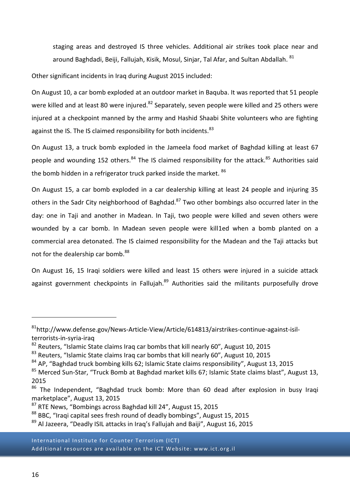staging areas and destroyed IS three vehicles. Additional air strikes took place near and around Baghdadi, Beiji, Fallujah, Kisik, Mosul, Sinjar, Tal Afar, and Sultan Abdallah. <sup>81</sup>

Other significant incidents in Iraq during August 2015 included:

On August 10, a car bomb exploded at an outdoor market in Baquba. It was reported that 51 people were killed and at least 80 were injured.<sup>82</sup> Separately, seven people were killed and 25 others were injured at a checkpoint manned by the army and Hashid Shaabi Shite volunteers who are fighting against the IS. The IS claimed responsibility for both incidents.<sup>83</sup>

On August 13, a truck bomb exploded in the Jameela food market of Baghdad killing at least 67 people and wounding 152 others.<sup>84</sup> The IS claimed responsibility for the attack.<sup>85</sup> Authorities said the bomb hidden in a refrigerator truck parked inside the market. <sup>86</sup>

On August 15, a car bomb exploded in a car dealership killing at least 24 people and injuring 35 others in the Sadr City neighborhood of Baghdad.<sup>87</sup> Two other bombings also occurred later in the day: one in Taji and another in Madean. In Taji, two people were killed and seven others were wounded by a car bomb. In Madean seven people were kill1ed when a bomb planted on a commercial area detonated. The IS claimed responsibility for the Madean and the Taji attacks but not for the dealership car bomb.<sup>88</sup>

On August 16, 15 Iraqi soldiers were killed and least 15 others were injured in a suicide attack against government checkpoints in Fallujah.<sup>89</sup> Authorities said the militants purposefully drove

l

<sup>&</sup>lt;sup>81</sup>http://www.defense.gov/News-Article-View/Article/614813/airstrikes-continue-against-isilterrorists-in-syria-iraq

 $82$  Reuters, "Islamic State claims Iraq car bombs that kill nearly 60", August 10, 2015

 $83$  Reuters, "Islamic State claims Iraq car bombs that kill nearly 60", August 10, 2015

 $84$  AP, "Baghdad truck bombing kills 62; Islamic State claims responsibility", August 13, 2015

 $85$  Merced Sun-Star, "Truck Bomb at Baghdad market kills 67; Islamic State claims blast", August 13, 2015

 $86$  The Independent, "Baghdad truck bomb: More than 60 dead after explosion in busy Iraqi marketplace", August 13, 2015

 $87$  RTE News, "Bombings across Baghdad kill 24", August 15, 2015

<sup>&</sup>lt;sup>88</sup> BBC, "Iraqi capital sees fresh round of deadly bombings", August 15, 2015

 $89$  Al Jazeera, "Deadly ISIL attacks in Iraq's Fallujah and Baiji", August 16, 2015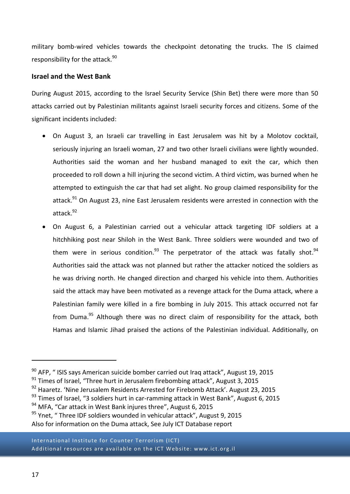military bomb-wired vehicles towards the checkpoint detonating the trucks. The IS claimed responsibility for the attack.<sup>90</sup>

#### **Israel and the West Bank**

During August 2015, according to the Israel Security Service (Shin Bet) there were more than 50 attacks carried out by Palestinian militants against Israeli security forces and citizens. Some of the significant incidents included:

- On August 3, an Israeli car travelling in East Jerusalem was hit by a Molotov cocktail, seriously injuring an Israeli woman, 27 and two other Israeli civilians were lightly wounded. Authorities said the woman and her husband managed to exit the car, which then proceeded to roll down a hill injuring the second victim. A third victim, was burned when he attempted to extinguish the car that had set alight. No group claimed responsibility for the attack.<sup>91</sup> On August 23, nine East Jerusalem residents were arrested in connection with the attack. 92
- On August 6, a Palestinian carried out a vehicular attack targeting IDF soldiers at a hitchhiking post near Shiloh in the West Bank. Three soldiers were wounded and two of them were in serious condition.<sup>93</sup> The perpetrator of the attack was fatally shot.<sup>94</sup> Authorities said the attack was not planned but rather the attacker noticed the soldiers as he was driving north. He changed direction and charged his vehicle into them. Authorities said the attack may have been motivated as a revenge attack for the Duma attack, where a Palestinian family were killed in a fire bombing in July 2015. This attack occurred not far from Duma.<sup>95</sup> Although there was no direct claim of responsibility for the attack, both Hamas and Islamic Jihad praised the actions of the Palestinian individual. Additionally, on

 $90$  AFP, " ISIS says American suicide bomber carried out Iraq attack", August 19, 2015

 $91$  Times of Israel, "Three hurt in Jerusalem firebombing attack", August 3, 2015

 $92$  Haaretz. 'Nine Jerusalem Residents Arrested for Firebomb Attack'. August 23, 2015

 $93$  Times of Israel, "3 soldiers hurt in car-ramming attack in West Bank", August 6, 2015

<sup>&</sup>lt;sup>94</sup> MFA, "Car attack in West Bank injures three", August 6, 2015

<sup>&</sup>lt;sup>95</sup> Ynet, "Three IDF soldiers wounded in vehicular attack", August 9, 2015 Also for information on the Duma attack, See July ICT Database report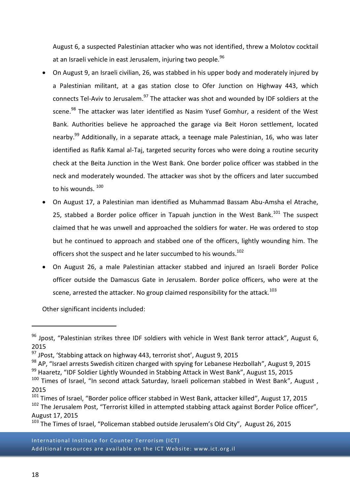August 6, a suspected Palestinian attacker who was not identified, threw a Molotov cocktail at an Israeli vehicle in east Jerusalem, injuring two people.<sup>96</sup>

- On August 9, an Israeli civilian, 26, was stabbed in his upper body and moderately injured by a Palestinian militant, at a gas station close to Ofer Junction on Highway 443, which connects Tel-Aviv to Jerusalem.<sup>97</sup> The attacker was shot and wounded by IDF soldiers at the scene.<sup>98</sup> The attacker was later identified as Nasim Yusef Gomhur, a resident of the West Bank. Authorities believe he approached the garage via Beit Horon settlement, located nearby.<sup>99</sup> Additionally, in a separate attack, a teenage male Palestinian, 16, who was later identified as Rafik Kamal al-Taj, targeted security forces who were doing a routine security check at the Beita Junction in the West Bank. One border police officer was stabbed in the neck and moderately wounded. The attacker was shot by the officers and later succumbed to his wounds.<sup>100</sup>
- On August 17, a Palestinian man identified as Muhammad Bassam Abu-Amsha el Atrache, 25, stabbed a Border police officer in Tapuah junction in the West Bank.<sup>101</sup> The suspect claimed that he was unwell and approached the soldiers for water. He was ordered to stop but he continued to approach and stabbed one of the officers, lightly wounding him. The officers shot the suspect and he later succumbed to his wounds.<sup>102</sup>
- On August 26, a male Palestinian attacker stabbed and injured an Israeli Border Police officer outside the Damascus Gate in Jerusalem. Border police officers, who were at the scene, arrested the attacker. No group claimed responsibility for the attack.<sup>103</sup>

Other significant incidents included:

 $96$  Jpost, "Palestinian strikes three IDF soldiers with vehicle in West Bank terror attack", August 6, 2015

 $97$  JPost, 'Stabbing attack on highway 443, terrorist shot', August 9, 2015

<sup>98</sup> AP, "Israel arrests Swedish citizen charged with spying for Lebanese Hezbollah", August 9, 2015 <sup>99</sup> Haaretz, "IDF Soldier Lightly Wounded in Stabbing Attack in West Bank", August 15, 2015

<sup>&</sup>lt;sup>100</sup> Times of Israel, "In second attack Saturday, Israeli policeman stabbed in West Bank", August, 2015

<sup>&</sup>lt;sup>101</sup> Times of Israel, "Border police officer stabbed in West Bank, attacker killed", August 17, 2015

<sup>&</sup>lt;sup>102</sup> The Jerusalem Post, "Terrorist killed in attempted stabbing attack against Border Police officer", August 17, 2015

<sup>&</sup>lt;sup>103</sup> The Times of Israel, "Policeman stabbed outside Jerusalem's Old City", August 26, 2015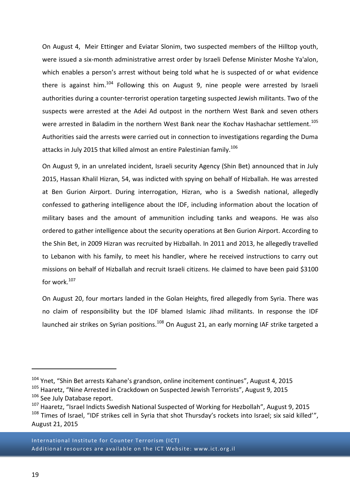On August 4, Meir Ettinger and Eviatar Slonim, two suspected members of the Hilltop youth, were issued a six-month administrative arrest order by Israeli Defense Minister Moshe Ya'alon, which enables a person's arrest without being told what he is suspected of or what evidence there is against him.<sup>104</sup> Following this on August 9, nine people were arrested by Israeli authorities during a counter-terrorist operation targeting suspected Jewish militants. Two of the suspects were arrested at the Adei Ad outpost in the northern West Bank and seven others were arrested in Baladim in the northern West Bank near the Kochav Hashachar settlement.<sup>105</sup> Authorities said the arrests were carried out in connection to investigations regarding the Duma attacks in July 2015 that killed almost an entire Palestinian family.<sup>106</sup>

On August 9, in an unrelated incident, Israeli security Agency (Shin Bet) announced that in July 2015, Hassan Khalil Hizran, 54, was indicted with spying on behalf of Hizballah. He was arrested at Ben Gurion Airport. During interrogation, Hizran, who is a Swedish national, allegedly confessed to gathering intelligence about the IDF, including information about the location of military bases and the amount of ammunition including tanks and weapons. He was also ordered to gather intelligence about the security operations at Ben Gurion Airport. According to the Shin Bet, in 2009 Hizran was recruited by Hizballah. In 2011 and 2013, he allegedly travelled to Lebanon with his family, to meet his handler, where he received instructions to carry out missions on behalf of Hizballah and recruit Israeli citizens. He claimed to have been paid \$3100 for work.<sup>107</sup>

On August 20, four mortars landed in the Golan Heights, fired allegedly from Syria. There was no claim of responsibility but the IDF blamed Islamic Jihad militants. In response the IDF launched air strikes on Syrian positions.<sup>108</sup> On August 21, an early morning IAF strike targeted a

 $104$  Ynet, "Shin Bet arrests Kahane's grandson, online incitement continues", August 4, 2015 <sup>105</sup> Haaretz, "Nine Arrested in Crackdown on Suspected Jewish Terrorists", August 9, 2015 <sup>106</sup> See July Database report.

<sup>107</sup> Haaretz, "Israel Indicts Swedish National Suspected of Working for Hezbollah", August 9, 2015 <sup>108</sup> Times of Israel, "IDF strikes cell in Syria that shot Thursday's rockets into Israel; six said killed'", August 21, 2015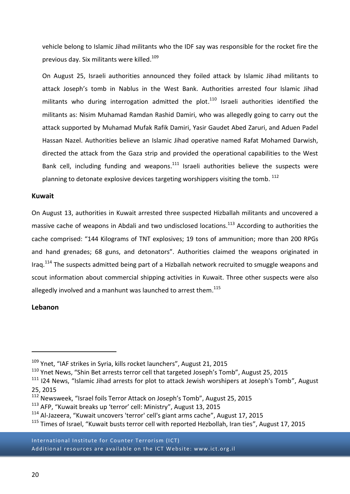vehicle belong to Islamic Jihad militants who the IDF say was responsible for the rocket fire the previous day. Six militants were killed.<sup>109</sup>

On August 25, Israeli authorities announced they foiled attack by Islamic Jihad militants to attack Joseph's tomb in Nablus in the West Bank. Authorities arrested four Islamic Jihad militants who during interrogation admitted the plot.<sup>110</sup> Israeli authorities identified the militants as: Nisim Muhamad Ramdan Rashid Damiri, who was allegedly going to carry out the attack supported by Muhamad Mufak Rafik Damiri, Yasir Gaudet Abed Zaruri, and Aduen Padel Hassan Nazel. Authorities believe an Islamic Jihad operative named Rafat Mohamed Darwish, directed the attack from the Gaza strip and provided the operational capabilities to the West Bank cell, including funding and weapons.<sup>111</sup> Israeli authorities believe the suspects were planning to detonate explosive devices targeting worshippers visiting the tomb.  $^{112}$ 

#### **Kuwait**

On August 13, authorities in Kuwait arrested three suspected Hizballah militants and uncovered a massive cache of weapons in Abdali and two undisclosed locations.<sup>113</sup> According to authorities the cache comprised: "144 Kilograms of TNT explosives; 19 tons of ammunition; more than 200 RPGs and hand grenades; 68 guns, and detonators". Authorities claimed the weapons originated in Iraq.<sup>114</sup> The suspects admitted being part of a Hizballah network recruited to smuggle weapons and scout information about commercial shipping activities in Kuwait. Three other suspects were also allegedly involved and a manhunt was launched to arrest them.<sup>115</sup>

#### **Lebanon**

 $109$  Ynet, "IAF strikes in Syria, kills rocket launchers", August 21, 2015

<sup>110</sup> Ynet News, "Shin Bet arrests terror cell that targeted Joseph's Tomb", August 25, 2015

<sup>&</sup>lt;sup>111</sup> I24 News, "Islamic Jihad arrests for plot to attack Jewish worshipers at Joseph's Tomb", August 25, 2015

 $112$  Newsweek, "Israel foils Terror Attack on Joseph's Tomb", August 25, 2015

<sup>&</sup>lt;sup>113</sup> AFP, "Kuwait breaks up 'terror' cell: Ministry", August 13, 2015

<sup>114</sup> Al-Jazeera, "Kuwait uncovers 'terror' cell's giant arms cache", August 17, 2015

<sup>&</sup>lt;sup>115</sup> Times of Israel, "Kuwait busts terror cell with reported Hezbollah, Iran ties", August 17, 2015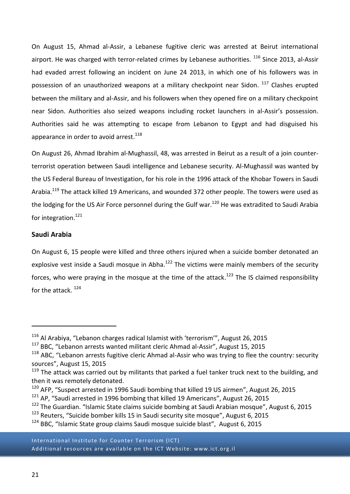On August 15, Ahmad al-Assir, a Lebanese fugitive cleric was arrested at Beirut international airport. He was charged with terror-related crimes by Lebanese authorities. <sup>116</sup> Since 2013, al-Assir had evaded arrest following an incident on June 24 2013, in which one of his followers was in possession of an unauthorized weapons at a military checkpoint near Sidon. <sup>117</sup> Clashes erupted between the military and al-Assir, and his followers when they opened fire on a military checkpoint near Sidon. Authorities also seized weapons including rocket launchers in al-Assir's possession. Authorities said he was attempting to escape from Lebanon to Egypt and had disguised his appearance in order to avoid arrest. $118$ 

On August 26, Ahmad Ibrahim al-Mughassil, 48, was arrested in Beirut as a result of a join counterterrorist operation between Saudi intelligence and Lebanese security. Al-Mughassil was wanted by the US Federal Bureau of Investigation, for his role in the 1996 attack of the Khobar Towers in Saudi Arabia.<sup>119</sup> The attack killed 19 Americans, and wounded 372 other people. The towers were used as the lodging for the US Air Force personnel during the Gulf war.<sup>120</sup> He was extradited to Saudi Arabia for integration.<sup>121</sup>

#### **Saudi Arabia**

On August 6, 15 people were killed and three others injured when a suicide bomber detonated an explosive vest inside a Saudi mosque in Abha.<sup>122</sup> The victims were mainly members of the security forces, who were praying in the mosque at the time of the attack.<sup>123</sup> The IS claimed responsibility for the attack. <sup>124</sup>

- <sup>120</sup> AFP, "Suspect arrested in 1996 Saudi bombing that killed 19 US airmen", August 26, 2015
- $121$  AP, "Saudi arrested in 1996 bombing that killed 19 Americans", August 26, 2015
- <sup>122</sup> The Guardian. "Islamic State claims suicide bombing at Saudi Arabian mosque", August 6, 2015
- <sup>123</sup> Reuters, "Suicide bomber kills 15 in Saudi security site mosque", August 6, 2015

<sup>116</sup> Al Arabiya, "Lebanon charges radical Islamist with 'terrorism'", August 26, 2015

 $117$  BBC, "Lebanon arrests wanted militant cleric Ahmad al-Assir", August 15, 2015

 $118$  ABC, "Lebanon arrests fugitive cleric Ahmad al-Assir who was trying to flee the country: security sources", August 15, 2015

<sup>&</sup>lt;sup>119</sup> The attack was carried out by militants that parked a fuel tanker truck next to the building, and then it was remotely detonated.

 $124$  BBC, "Islamic State group claims Saudi mosque suicide blast", August 6, 2015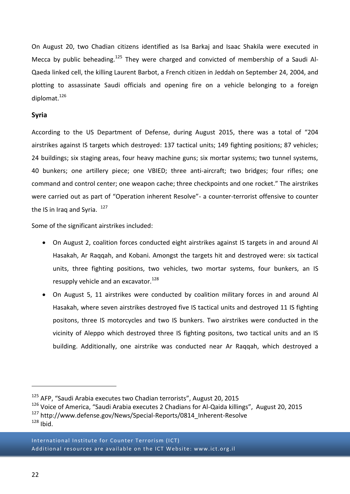On August 20, two Chadian citizens identified as Isa Barkaj and Isaac Shakila were executed in Mecca by public beheading.<sup>125</sup> They were charged and convicted of membership of a Saudi Al-Qaeda linked cell, the killing Laurent Barbot, a French citizen in Jeddah on September 24, 2004, and plotting to assassinate Saudi officials and opening fire on a vehicle belonging to a foreign diplomat.<sup>126</sup>

#### **Syria**

According to the US Department of Defense, during August 2015, there was a total of "204 airstrikes against IS targets which destroyed: 137 tactical units; 149 fighting positions; 87 vehicles; 24 buildings; six staging areas, four heavy machine guns; six mortar systems; two tunnel systems, 40 bunkers; one artillery piece; one VBIED; three anti-aircraft; two bridges; four rifles; one command and control center; one weapon cache; three checkpoints and one rocket." The airstrikes were carried out as part of "Operation inherent Resolve"- a counter-terrorist offensive to counter the IS in Iraq and Syria. 127

Some of the significant airstrikes included:

- On August 2, coalition forces conducted eight airstrikes against IS targets in and around Al Hasakah, Ar Raqqah, and Kobani. Amongst the targets hit and destroyed were: six tactical units, three fighting positions, two vehicles, two mortar systems, four bunkers, an IS resupply vehicle and an excavator.<sup>128</sup>
- On August 5, 11 airstrikes were conducted by coalition military forces in and around Al Hasakah, where seven airstrikes destroyed five IS tactical units and destroyed 11 IS fighting positons, three IS motorcycles and two IS bunkers. Two airstrikes were conducted in the vicinity of Aleppo which destroyed three IS fighting positons, two tactical units and an IS building. Additionally, one airstrike was conducted near Ar Raqqah, which destroyed a

l

<sup>125</sup> AFP, "Saudi Arabia executes two Chadian terrorists", August 20, 2015

<sup>&</sup>lt;sup>126</sup> Voice of America, "Saudi Arabia executes 2 Chadians for Al-Qaida killings", August 20, 2015 <sup>127</sup> http://www.defense.gov/News/Special-Reports/0814\_Inherent-Resolve  $128$  Ibid.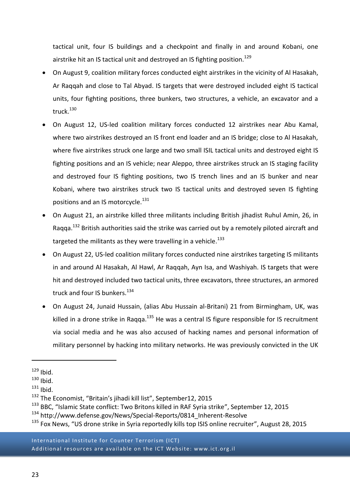tactical unit, four IS buildings and a checkpoint and finally in and around Kobani, one airstrike hit an IS tactical unit and destroyed an IS fighting position.<sup>129</sup>

- On August 9, coalition military forces conducted eight airstrikes in the vicinity of Al Hasakah, Ar Raqqah and close to Tal Abyad. IS targets that were destroyed included eight IS tactical units, four fighting positions, three bunkers, two structures, a vehicle, an excavator and a truck.<sup>130</sup>
- On August 12, US-led coalition military forces conducted 12 airstrikes near Abu Kamal, where two airstrikes destroyed an IS front end loader and an IS bridge; close to Al Hasakah, where five airstrikes struck one large and two small ISIL tactical units and destroyed eight IS fighting positions and an IS vehicle; near Aleppo, three airstrikes struck an IS staging facility and destroyed four IS fighting positions, two IS trench lines and an IS bunker and near Kobani, where two airstrikes struck two IS tactical units and destroyed seven IS fighting positions and an IS motorcycle.<sup>131</sup>
- On August 21, an airstrike killed three militants including British jihadist Ruhul Amin, 26, in Raqqa.<sup>132</sup> British authorities said the strike was carried out by a remotely piloted aircraft and targeted the militants as they were travelling in a vehicle.<sup>133</sup>
- On August 22, US-led coalition military forces conducted nine airstrikes targeting IS militants in and around Al Hasakah, Al Hawl, Ar Raqqah, Ayn Isa, and Washiyah. IS targets that were hit and destroyed included two tactical units, three excavators, three structures, an armored truck and four IS bunkers.<sup>134</sup>
- On August 24, Junaid Hussain, (alias Abu Hussain al-Britani) 21 from Birmingham, UK, was killed in a drone strike in Ragga. $135$  He was a central IS figure responsible for IS recruitment via social media and he was also accused of hacking names and personal information of military personnel by hacking into military networks. He was previously convicted in the UK

 $129$  Ibid.

 $130$  Ibid.

 $131$  Ibid.

<sup>&</sup>lt;sup>132</sup> The Economist, "Britain's jihadi kill list", September12, 2015

<sup>&</sup>lt;sup>133</sup> BBC, "Islamic State conflict: Two Britons killed in RAF Syria strike", September 12, 2015

<sup>134</sup> http://www.defense.gov/News/Special-Reports/0814\_Inherent-Resolve

<sup>&</sup>lt;sup>135</sup> Fox News, "US drone strike in Syria reportedly kills top ISIS online recruiter", August 28, 2015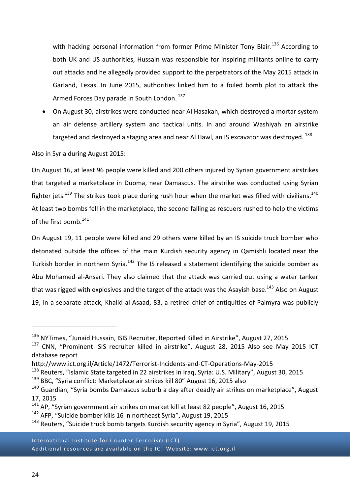with hacking personal information from former Prime Minister Tony Blair.<sup>136</sup> According to both UK and US authorities, Hussain was responsible for inspiring militants online to carry out attacks and he allegedly provided support to the perpetrators of the May 2015 attack in Garland, Texas. In June 2015, authorities linked him to a foiled bomb plot to attack the Armed Forces Day parade in South London.<sup>137</sup>

 On August 30, airstrikes were conducted near Al Hasakah, which destroyed a mortar system an air defense artillery system and tactical units. In and around Washiyah an airstrike targeted and destroyed a staging area and near Al Hawl, an IS excavator was destroyed. <sup>138</sup>

Also in Syria during August 2015:

On August 16, at least 96 people were killed and 200 others injured by Syrian government airstrikes that targeted a marketplace in Duoma, near Damascus. The airstrike was conducted using Syrian fighter jets.<sup>139</sup> The strikes took place during rush hour when the market was filled with civilians.<sup>140</sup> At least two bombs fell in the marketplace, the second falling as rescuers rushed to help the victims of the first bomb.<sup>141</sup>

On August 19, 11 people were killed and 29 others were killed by an IS suicide truck bomber who detonated outside the offices of the main Kurdish security agency in Qamishli located near the Turkish border in northern Syria.<sup>142</sup> The IS released a statement identifying the suicide bomber as Abu Mohamed al-Ansari. They also claimed that the attack was carried out using a water tanker that was rigged with explosives and the target of the attack was the Asayish base.<sup>143</sup> Also on August 19, in a separate attack, Khalid al-Asaad, 83, a retired chief of antiquities of Palmyra was publicly

- http://www.ict.org.il/Article/1472/Terrorist-Incidents-and-CT-Operations-May-2015
- <sup>138</sup> Reuters, "Islamic State targeted in 22 airstrikes in Iraq, Syria: U.S. Military", August 30, 2015 <sup>139</sup> BBC, "Syria conflict: Marketplace air strikes kill 80" August 16, 2015 also

<sup>&</sup>lt;sup>136</sup> NYTimes, "Junaid Hussain, ISIS Recruiter, Reported Killed in Airstrike", August 27, 2015

<sup>&</sup>lt;sup>137</sup> CNN, "Prominent ISIS recruiter killed in airstrike", August 28, 2015 Also see May 2015 ICT database report

<sup>&</sup>lt;sup>140</sup> Guardian, "Syria bombs Damascus suburb a day after deadly air strikes on marketplace", August 17, 2015

<sup>&</sup>lt;sup>141</sup> AP, "Syrian government air strikes on market kill at least 82 people", August 16, 2015

<sup>142</sup> AFP, "Suicide bomber kills 16 in northeast Syria", August 19, 2015

<sup>&</sup>lt;sup>143</sup> Reuters, "Suicide truck bomb targets Kurdish security agency in Syria", August 19, 2015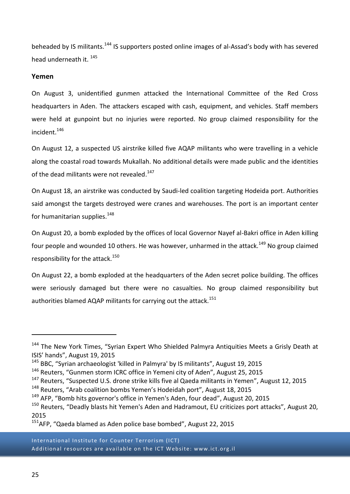beheaded by IS militants.<sup>144</sup> IS supporters posted online images of al-Assad's body with has severed head underneath it.  $^{145}$ 

#### **Yemen**

On August 3, unidentified gunmen attacked the International Committee of the Red Cross headquarters in Aden. The attackers escaped with cash, equipment, and vehicles. Staff members were held at gunpoint but no injuries were reported. No group claimed responsibility for the incident.<sup>146</sup>

On August 12, a suspected US airstrike killed five AQAP militants who were travelling in a vehicle along the coastal road towards Mukallah. No additional details were made public and the identities of the dead militants were not revealed.<sup>147</sup>

On August 18, an airstrike was conducted by Saudi-led coalition targeting Hodeida port. Authorities said amongst the targets destroyed were cranes and warehouses. The port is an important center for humanitarian supplies.<sup>148</sup>

On August 20, a bomb exploded by the offices of local Governor Nayef al-Bakri office in Aden killing four people and wounded 10 others. He was however, unharmed in the attack.<sup>149</sup> No group claimed responsibility for the attack.<sup>150</sup>

On August 22, a bomb exploded at the headquarters of the Aden secret police building. The offices were seriously damaged but there were no casualties. No group claimed responsibility but authorities blamed AQAP militants for carrying out the attack.<sup>151</sup>

<sup>147</sup> Reuters, "Suspected U.S. drone strike kills five al Qaeda militants in Yemen", August 12, 2015

<sup>&</sup>lt;sup>144</sup> The New York Times, "Syrian Expert Who Shielded Palmyra Antiquities Meets a Grisly Death at ISIS' hands", August 19, 2015

<sup>&</sup>lt;sup>145</sup> BBC, "Syrian archaeologist 'killed in Palmyra' by IS militants", August 19, 2015

<sup>&</sup>lt;sup>146</sup> Reuters, "Gunmen storm ICRC office in Yemeni city of Aden", August 25, 2015

<sup>&</sup>lt;sup>148</sup> Reuters, "Arab coalition bombs Yemen's Hodeidah port", August 18, 2015

<sup>&</sup>lt;sup>149</sup> AFP, "Bomb hits governor's office in Yemen's Aden, four dead", August 20, 2015

<sup>&</sup>lt;sup>150</sup> Reuters, "Deadly blasts hit Yemen's Aden and Hadramout, EU criticizes port attacks", August 20, 2015

 $151$ AFP, "Qaeda blamed as Aden police base bombed", August 22, 2015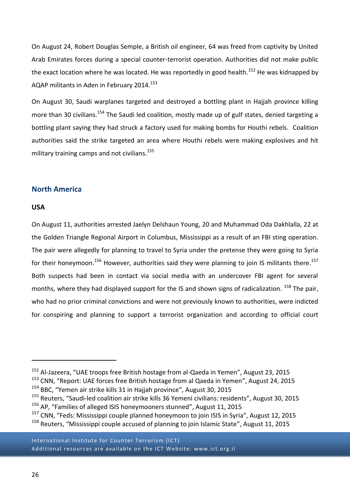On August 24, Robert Douglas Semple, a British oil engineer, 64 was freed from captivity by United Arab Emirates forces during a special counter-terrorist operation. Authorities did not make public the exact location where he was located. He was reportedly in good health.<sup>152</sup> He was kidnapped by AQAP militants in Aden in February 2014.<sup>153</sup>

On August 30, Saudi warplanes targeted and destroyed a bottling plant in Hajjah province killing more than 30 civilians.<sup>154</sup> The Saudi led coalition, mostly made up of gulf states, denied targeting a bottling plant saying they had struck a factory used for making bombs for Houthi rebels. Coalition authorities said the strike targeted an area where Houthi rebels were making explosives and hit military training camps and not civilians.<sup>155</sup>

#### **North America**

#### **USA**

On August 11, authorities arrested Jaelyn Delshaun Young, 20 and Muhammad Oda Dakhlalla, 22 at the Golden Triangle Regional Airport in Columbus, Mississippi as a result of an FBI sting operation. The pair were allegedly for planning to travel to Syria under the pretense they were going to Syria for their honeymoon.<sup>156</sup> However, authorities said they were planning to join IS militants there.<sup>157</sup> Both suspects had been in contact via social media with an undercover FBI agent for several months, where they had displayed support for the IS and shown signs of radicalization. <sup>158</sup> The pair, who had no prior criminal convictions and were not previously known to authorities, were indicted for conspiring and planning to support a terrorist organization and according to official court

<sup>155</sup> Reuters, "Saudi-led coalition air strike kills 36 Yemeni civilians: residents", August 30, 2015 <sup>156</sup> AP, "Families of alleged ISIS honeymooners stunned", August 11, 2015

<sup>152</sup> Al-Jazeera, "UAE troops free British hostage from al-Qaeda in Yemen", August 23, 2015 <sup>153</sup> CNN, "Report: UAE forces free British hostage from al Qaeda in Yemen", August 24, 2015 <sup>154</sup> BBC, "Yemen air strike kills 31 in Hajjah province", August 30, 2015

<sup>&</sup>lt;sup>157</sup> CNN, "Feds: Mississippi couple planned honeymoon to join ISIS in Syria", August 12, 2015

<sup>&</sup>lt;sup>158</sup> Reuters, "Mississippi couple accused of planning to join Islamic State", August 11, 2015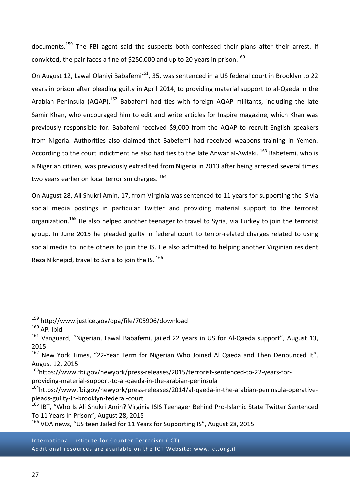documents.<sup>159</sup> The FBI agent said the suspects both confessed their plans after their arrest. If convicted, the pair faces a fine of \$250,000 and up to 20 years in prison. $^{160}$ 

On August 12, Lawal Olaniyi Babafemi<sup>161</sup>, 35, was sentenced in a US federal court in Brooklyn to 22 years in prison after pleading guilty in April 2014, to providing material support to al-Qaeda in the Arabian Peninsula (AQAP).<sup>162</sup> Babafemi had ties with foreign AQAP militants, including the late Samir Khan, who encouraged him to edit and write articles for Inspire magazine, which Khan was previously responsible for. Babafemi received \$9,000 from the AQAP to recruit English speakers from Nigeria. Authorities also claimed that Babefemi had received weapons training in Yemen. According to the court indictment he also had ties to the late Anwar al-Awlaki. <sup>163</sup> Babefemi, who is a Nigerian citizen, was previously extradited from Nigeria in 2013 after being arrested several times two years earlier on local terrorism charges.  $164$ 

On August 28, Ali Shukri Amin, 17, from Virginia was sentenced to 11 years for supporting the IS via social media postings in particular Twitter and providing material support to the terrorist organization.<sup>165</sup> He also helped another teenager to travel to Syria, via Turkey to join the terrorist group. In June 2015 he pleaded guilty in federal court to terror-related charges related to using social media to incite others to join the IS. He also admitted to helping another Virginian resident Reza Niknejad, travel to Syria to join the IS. 166

l

<sup>159</sup> http://www.justice.gov/opa/file/705906/download

 $160$  AP. Ibid

<sup>&</sup>lt;sup>161</sup> Vanguard, "Nigerian, Lawal Babafemi, jailed 22 years in US for Al-Qaeda support", August 13, 2015

<sup>&</sup>lt;sup>162</sup> New York Times, "22-Year Term for Nigerian Who Joined Al Qaeda and Then Denounced It", August 12, 2015

<sup>&</sup>lt;sup>163</sup>https://www.fbi.gov/newyork/press-releases/2015/terrorist-sentenced-to-22-years-for-

providing-material-support-to-al-qaeda-in-the-arabian-peninsula

<sup>&</sup>lt;sup>164</sup>https://www.fbi.gov/newyork/press-releases/2014/al-qaeda-in-the-arabian-peninsula-operativepleads-guilty-in-brooklyn-federal-court

<sup>&</sup>lt;sup>165</sup> IBT, "Who Is Ali Shukri Amin? Virginia ISIS Teenager Behind Pro-Islamic State Twitter Sentenced To 11 Years In Prison", August 28, 2015

<sup>&</sup>lt;sup>166</sup> VOA news, "US teen Jailed for 11 Years for Supporting IS", August 28, 2015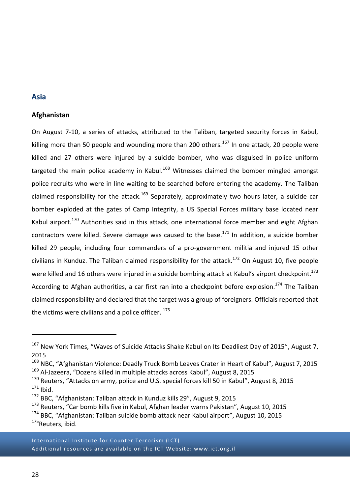#### **Asia**

#### **Afghanistan**

On August 7-10, a series of attacks, attributed to the Taliban, targeted security forces in Kabul, killing more than 50 people and wounding more than 200 others.<sup>167</sup> In one attack, 20 people were killed and 27 others were injured by a suicide bomber, who was disguised in police uniform targeted the main police academy in Kabul.<sup>168</sup> Witnesses claimed the bomber mingled amongst police recruits who were in line waiting to be searched before entering the academy. The Taliban claimed responsibility for the attack.<sup>169</sup> Separately, approximately two hours later, a suicide car bomber exploded at the gates of Camp Integrity, a US Special Forces military base located near Kabul airport.<sup>170</sup> Authorities said in this attack, one international force member and eight Afghan contractors were killed. Severe damage was caused to the base. $171$  In addition, a suicide bomber killed 29 people, including four commanders of a pro-government militia and injured 15 other civilians in Kunduz. The Taliban claimed responsibility for the attack.<sup>172</sup> On August 10, five people were killed and 16 others were injured in a suicide bombing attack at Kabul's airport checkpoint.<sup>173</sup> According to Afghan authorities, a car first ran into a checkpoint before explosion.<sup>174</sup> The Taliban claimed responsibility and declared that the target was a group of foreigners. Officials reported that the victims were civilians and a police officer.  $175$ 

<sup>&</sup>lt;sup>167</sup> New York Times, "Waves of Suicide Attacks Shake Kabul on Its Deadliest Day of 2015", August 7, 2015

<sup>&</sup>lt;sup>168</sup> NBC, "Afghanistan Violence: Deadly Truck Bomb Leaves Crater in Heart of Kabul", August 7, 2015 <sup>169</sup> Al-Jazeera, "Dozens killed in multiple attacks across Kabul", August 8, 2015

<sup>&</sup>lt;sup>170</sup> Reuters, "Attacks on army, police and U.S. special forces kill 50 in Kabul", August 8, 2015  $171$  Ibid.

<sup>172</sup> BBC, "Afghanistan: Taliban attack in Kunduz kills 29", August 9, 2015

<sup>&</sup>lt;sup>173</sup> Reuters, "Car bomb kills five in Kabul, Afghan leader warns Pakistan", August 10, 2015

<sup>174</sup> BBC, "Afghanistan: Taliban suicide bomb attack near Kabul airport", August 10, 2015 <sup>175</sup>Reuters, ibid.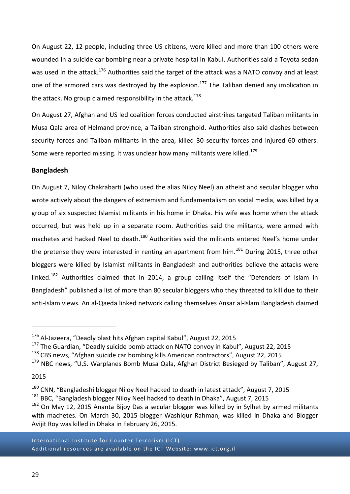On August 22, 12 people, including three US citizens, were killed and more than 100 others were wounded in a suicide car bombing near a private hospital in Kabul. Authorities said a Toyota sedan was used in the attack.<sup>176</sup> Authorities said the target of the attack was a NATO convoy and at least one of the armored cars was destroyed by the explosion.<sup>177</sup> The Taliban denied any implication in the attack. No group claimed responsibility in the attack.<sup>178</sup>

On August 27, Afghan and US led coalition forces conducted airstrikes targeted Taliban militants in Musa Qala area of Helmand province, a Taliban stronghold. Authorities also said clashes between security forces and Taliban militants in the area, killed 30 security forces and injured 60 others. Some were reported missing. It was unclear how many militants were killed.<sup>179</sup>

#### **Bangladesh**

On August 7, Niloy Chakrabarti (who used the alias Niloy Neel) an atheist and secular blogger who wrote actively about the dangers of extremism and fundamentalism on social media, was killed by a group of six suspected Islamist militants in his home in Dhaka. His wife was home when the attack occurred, but was held up in a separate room. Authorities said the militants, were armed with machetes and hacked Neel to death.<sup>180</sup> Authorities said the militants entered Neel's home under the pretense they were interested in renting an apartment from him.<sup>181</sup> During 2015, three other bloggers were killed by Islamist militants in Bangladesh and authorities believe the attacks were linked.<sup>182</sup> Authorities claimed that in 2014, a group calling itself the "Defenders of Islam in Bangladesh" published a list of more than 80 secular bloggers who they threated to kill due to their anti-Islam views. An al-Qaeda linked network calling themselves Ansar al-Islam Bangladesh claimed

#### 2015

<sup>176</sup> Al-Jazeera, "Deadly blast hits Afghan capital Kabul", August 22, 2015

 $177$  The Guardian, "Deadly suicide bomb attack on NATO convoy in Kabul", August 22, 2015

<sup>&</sup>lt;sup>178</sup> CBS news, "Afghan suicide car bombing kills American contractors", August 22, 2015

 $179$  NBC news, "U.S. Warplanes Bomb Musa Qala, Afghan District Besieged by Taliban", August 27,

<sup>&</sup>lt;sup>180</sup> CNN, "Bangladeshi blogger Niloy Neel hacked to death in latest attack", August 7, 2015 <sup>181</sup> BBC, "Bangladesh blogger Niloy Neel hacked to death in Dhaka", August 7, 2015

<sup>&</sup>lt;sup>182</sup> On May 12, 2015 Ananta Bijoy Das a secular blogger was killed by in Sylhet by armed militants with machetes. On March 30, 2015 blogger Washiqur Rahman, was killed in Dhaka and Blogger Avijit Roy was killed in Dhaka in February 26, 2015.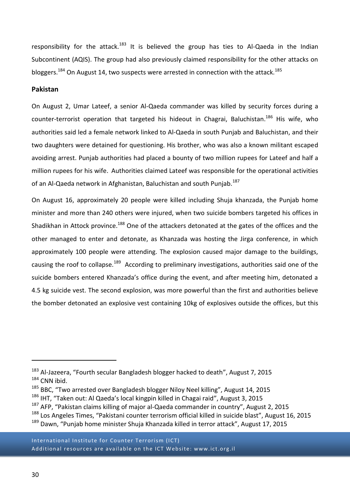responsibility for the attack.<sup>183</sup> It is believed the group has ties to Al-Qaeda in the Indian Subcontinent (AQIS). The group had also previously claimed responsibility for the other attacks on bloggers.<sup>184</sup> On August 14, two suspects were arrested in connection with the attack.<sup>185</sup>

#### **Pakistan**

On August 2, Umar Lateef, a senior Al-Qaeda commander was killed by security forces during a counter-terrorist operation that targeted his hideout in Chagrai, Baluchistan.<sup>186</sup> His wife, who authorities said led a female network linked to Al-Qaeda in south Punjab and Baluchistan, and their two daughters were detained for questioning. His brother, who was also a known militant escaped avoiding arrest. Punjab authorities had placed a bounty of two million rupees for Lateef and half a million rupees for his wife. Authorities claimed Lateef was responsible for the operational activities of an Al-Qaeda network in Afghanistan, Baluchistan and south Punjab.<sup>187</sup>

On August 16, approximately 20 people were killed including Shuja khanzada, the Punjab home minister and more than 240 others were injured, when two suicide bombers targeted his offices in Shadikhan in Attock province.<sup>188</sup> One of the attackers detonated at the gates of the offices and the other managed to enter and detonate, as Khanzada was hosting the Jirga conference, in which approximately 100 people were attending. The explosion caused major damage to the buildings, causing the roof to collapse.<sup>189</sup> According to preliminary investigations, authorities said one of the suicide bombers entered Khanzada's office during the event, and after meeting him, detonated a 4.5 kg suicide vest. The second explosion, was more powerful than the first and authorities believe the bomber detonated an explosive vest containing 10kg of explosives outside the offices, but this

<sup>183</sup> Al-Jazeera, "Fourth secular Bangladesh blogger hacked to death", August 7, 2015 184 CNN ibid.

<sup>&</sup>lt;sup>185</sup> BBC, "Two arrested over Bangladesh blogger Niloy Neel killing", August 14, 2015

<sup>&</sup>lt;sup>186</sup> IHT, "Taken out: Al Qaeda's local kingpin killed in Chagai raid", August 3, 2015

 $187$  AFP, "Pakistan claims killing of major al-Qaeda commander in country", August 2, 2015

<sup>188</sup> Los Angeles Times, "Pakistani counter terrorism official killed in suicide blast", August 16, 2015

<sup>&</sup>lt;sup>189</sup> Dawn, "Punjab home minister Shuja Khanzada killed in terror attack", August 17, 2015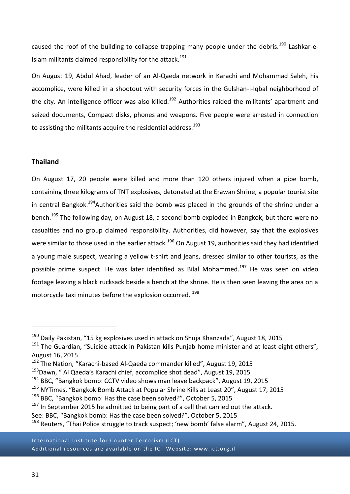caused the roof of the building to collapse trapping many people under the debris.<sup>190</sup> Lashkar-e-Islam militants claimed responsibility for the attack.<sup>191</sup>

On August 19, Abdul Ahad, leader of an Al-Qaeda network in Karachi and Mohammad Saleh, his accomplice, were killed in a shootout with security forces in the Gulshan-i-Iqbal neighborhood of the city. An intelligence officer was also killed.<sup>192</sup> Authorities raided the militants' apartment and seized documents, Compact disks, phones and weapons. Five people were arrested in connection to assisting the militants acquire the residential address.<sup>193</sup>

#### **Thailand**

On August 17, 20 people were killed and more than 120 others injured when a pipe bomb, containing three kilograms of TNT explosives, detonated at the Erawan Shrine, a popular tourist site in central Bangkok.<sup>194</sup>Authorities said the bomb was placed in the grounds of the shrine under a bench.<sup>195</sup> The following day, on August 18, a second bomb exploded in Bangkok, but there were no casualties and no group claimed responsibility. Authorities, did however, say that the explosives were similar to those used in the earlier attack.<sup>196</sup> On August 19, authorities said they had identified a young male suspect, wearing a yellow t-shirt and jeans, dressed similar to other tourists, as the possible prime suspect. He was later identified as Bilal Mohammed.<sup>197</sup> He was seen on video footage leaving a black rucksack beside a bench at the shrine. He is then seen leaving the area on a motorcycle taxi minutes before the explosion occurred. <sup>198</sup>

 $192$  The Nation, "Karachi-based Al-Qaeda commander killed", August 19, 2015

<sup>190</sup> Daily Pakistan, "15 kg explosives used in attack on Shuja Khanzada", August 18, 2015

 $191$  The Guardian, "Suicide attack in Pakistan kills Punjab home minister and at least eight others", August 16, 2015

 $193$ Dawn, " Al Qaeda's Karachi chief, accomplice shot dead", August 19, 2015

<sup>&</sup>lt;sup>194</sup> BBC, "Bangkok bomb: CCTV video shows man leave backpack", August 19, 2015

<sup>&</sup>lt;sup>195</sup> NYTimes, "Bangkok Bomb Attack at Popular Shrine Kills at Least 20", August 17, 2015

<sup>&</sup>lt;sup>196</sup> BBC, "Bangkok bomb: Has the case been solved?", October 5, 2015

 $197$  In September 2015 he admitted to being part of a cell that carried out the attack.

See: BBC, "Bangkok bomb: Has the case been solved?", October 5, 2015

<sup>&</sup>lt;sup>198</sup> Reuters, "Thai Police struggle to track suspect; 'new bomb' false alarm", August 24, 2015.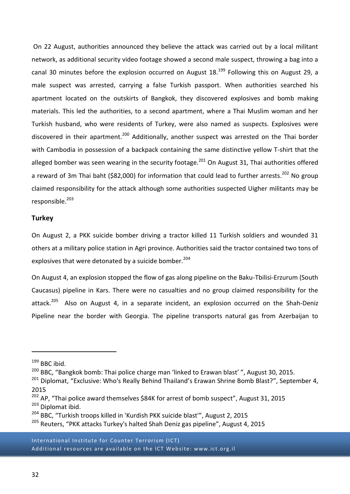On 22 August, authorities announced they believe the attack was carried out by a local militant network, as additional security video footage showed a second male suspect, throwing a bag into a canal 30 minutes before the explosion occurred on August  $18.<sup>199</sup>$  Following this on August 29, a male suspect was arrested, carrying a false Turkish passport. When authorities searched his apartment located on the outskirts of Bangkok, they discovered explosives and bomb making materials. This led the authorities, to a second apartment, where a Thai Muslim woman and her Turkish husband, who were residents of Turkey, were also named as suspects. Explosives were discovered in their apartment.<sup>200</sup> Additionally, another suspect was arrested on the Thai border with Cambodia in possession of a backpack containing the same distinctive yellow T-shirt that the alleged bomber was seen wearing in the security footage.<sup>201</sup> On August 31, Thai authorities offered a reward of 3m Thai baht (\$82,000) for information that could lead to further arrests.<sup>202</sup> No group claimed responsibility for the attack although some authorities suspected Uigher militants may be responsible.<sup>203</sup>

#### **Turkey**

On August 2, a PKK suicide bomber driving a tractor killed 11 Turkish soldiers and wounded 31 others at a military police station in Agri province. Authorities said the tractor contained two tons of explosives that were detonated by a suicide bomber.<sup>204</sup>

On August 4, an explosion stopped the flow of gas along pipeline on the Baku-Tbilisi-Erzurum (South Caucasus) pipeline in Kars. There were no casualties and no group claimed responsibility for the attack.<sup>205</sup> Also on August 4, in a separate incident, an explosion occurred on the Shah-Deniz Pipeline near the border with Georgia. The pipeline transports natural gas from Azerbaijan to

 $\overline{a}$ 

International Institute for Counter Terrorism (ICT) Additional resources are available on the ICT Website: www.ict.org.il

 $199$  BBC ibid.

 $200$  BBC, "Bangkok bomb: Thai police charge man 'linked to Erawan blast' ", August 30, 2015.

<sup>&</sup>lt;sup>201</sup> Diplomat, "Exclusive: Who's Really Behind Thailand's Erawan Shrine Bomb Blast?", September 4, 2015

 $202$  AP, "Thai police award themselves \$84K for arrest of bomb suspect", August 31, 2015 <sup>203</sup> Diplomat ibid.

<sup>&</sup>lt;sup>204</sup> BBC, "Turkish troops killed in 'Kurdish PKK suicide blast'", August 2, 2015

<sup>&</sup>lt;sup>205</sup> Reuters, "PKK attacks Turkey's halted Shah Deniz gas pipeline", August 4, 2015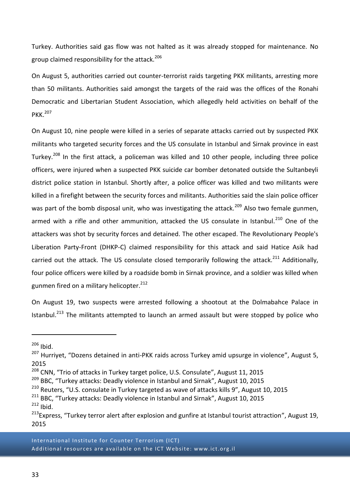Turkey. Authorities said gas flow was not halted as it was already stopped for maintenance. No group claimed responsibility for the attack.<sup>206</sup>

On August 5, authorities carried out counter-terrorist raids targeting PKK militants, arresting more than 50 militants. Authorities said amongst the targets of the raid was the offices of the Ronahi Democratic and Libertarian Student Association, which allegedly held activities on behalf of the **PKK.**<sup>207</sup>

On August 10, nine people were killed in a series of separate attacks carried out by suspected PKK militants who targeted security forces and the US consulate in Istanbul and Sirnak province in east Turkey.<sup>208</sup> In the first attack, a policeman was killed and 10 other people, including three police officers, were injured when a suspected PKK suicide car bomber detonated outside the Sultanbeyli district police station in Istanbul. Shortly after, a police officer was killed and two militants were killed in a firefight between the security forces and militants. Authorities said the slain police officer was part of the bomb disposal unit, who was investigating the attack.<sup>209</sup> Also two female gunmen, armed with a rifle and other ammunition, attacked the US consulate in Istanbul.<sup>210</sup> One of the attackers was shot by security forces and detained. The other escaped. The Revolutionary People's Liberation Party-Front (DHKP-C) claimed responsibility for this attack and said Hatice Asik had carried out the attack. The US consulate closed temporarily following the attack.<sup>211</sup> Additionally, four police officers were killed by a roadside bomb in Sirnak province, and a soldier was killed when gunmen fired on a military helicopter.<sup>212</sup>

On August 19, two suspects were arrested following a shootout at the Dolmabahce Palace in Istanbul.<sup>213</sup> The militants attempted to launch an armed assault but were stopped by police who

 $\overline{a}$ 

 $212$  Ibid.

 $206$  Ibid.

<sup>&</sup>lt;sup>207</sup> Hurriyet, "Dozens detained in anti-PKK raids across Turkey amid upsurge in violence", August 5, 2015

<sup>&</sup>lt;sup>208</sup> CNN, "Trio of attacks in Turkey target police, U.S. Consulate", August 11, 2015

<sup>&</sup>lt;sup>209</sup> BBC, "Turkey attacks: Deadly violence in Istanbul and Sirnak", August 10, 2015

<sup>210</sup> Reuters, "U.S. consulate in Turkey targeted as wave of attacks kills 9", August 10, 2015

<sup>&</sup>lt;sup>211</sup> BBC, "Turkey attacks: Deadly violence in Istanbul and Sirnak", August 10, 2015

<sup>&</sup>lt;sup>213</sup> Express, "Turkey terror alert after explosion and gunfire at Istanbul tourist attraction", August 19, 2015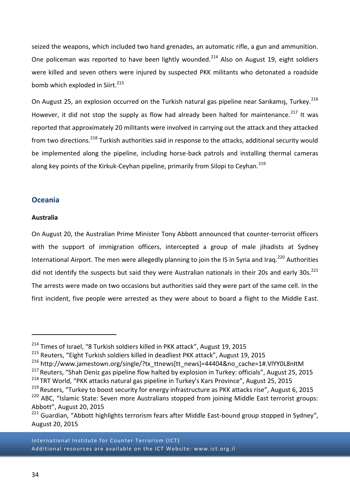seized the weapons, which included two hand grenades, an automatic rifle, a gun and ammunition. One policeman was reported to have been lightly wounded.<sup>214</sup> Also on August 19, eight soldiers were killed and seven others were injured by suspected PKK militants who detonated a roadside bomb which exploded in Siirt.<sup>215</sup>

On August 25, an explosion occurred on the Turkish natural gas pipeline near Sarıkamış, Turkey.<sup>216</sup> However, it did not stop the supply as flow had already been halted for maintenance.<sup>217</sup> It was reported that approximately 20 militants were involved in carrying out the attack and they attacked from two directions.<sup>218</sup> Turkish authorities said in response to the attacks, additional security would be implemented along the pipeline, including horse-back patrols and installing thermal cameras along key points of the Kirkuk-Ceyhan pipeline, primarily from Silopi to Ceyhan.<sup>219</sup>

#### **Oceania**

#### **Australia**

On August 20, the Australian Prime Minister Tony Abbott announced that counter-terrorist officers with the support of immigration officers, intercepted a group of male jihadists at Sydney International Airport. The men were allegedly planning to join the IS in Syria and Iraq.<sup>220</sup> Authorities did not identify the suspects but said they were Australian nationals in their 20s and early 30s.<sup>221</sup> The arrests were made on two occasions but authorities said they were part of the same cell. In the first incident, five people were arrested as they were about to board a flight to the Middle East.

<sup>215</sup> Reuters, "Eight Turkish soldiers killed in deadliest PKK attack", August 19, 2015

<sup>216</sup> http://www.jamestown.org/single/?tx\_ttnews[tt\_news]=44404&no\_cache=1#.VlYY0L8nItM <sup>217</sup> Reuters, "Shah Deniz gas pipeline flow halted by explosion in Turkey: officials", August 25, 2015 <sup>218</sup> TRT World, "PKK attacks natural gas pipeline in Turkey's Kars Province", August 25, 2015 <sup>219</sup> Reuters, "Turkey to boost security for energy infrastructure as PKK attacks rise", August 6, 2015

<sup>&</sup>lt;sup>214</sup> Times of Israel, "8 Turkish soldiers killed in PKK attack", August 19, 2015

<sup>&</sup>lt;sup>220</sup> ABC, "Islamic State: Seven more Australians stopped from joining Middle East terrorist groups: Abbott", August 20, 2015

<sup>&</sup>lt;sup>221</sup> Guardian, "Abbott highlights terrorism fears after Middle East-bound group stopped in Sydney", August 20, 2015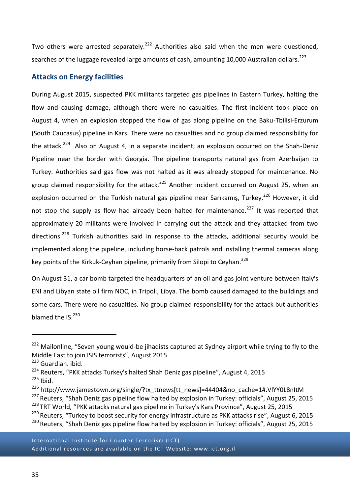Two others were arrested separately.<sup>222</sup> Authorities also said when the men were questioned, searches of the luggage revealed large amounts of cash, amounting 10,000 Australian dollars.<sup>223</sup>

#### **Attacks on Energy facilities**

During August 2015, suspected PKK militants targeted gas pipelines in Eastern Turkey, halting the flow and causing damage, although there were no casualties. The first incident took place on August 4, when an explosion stopped the flow of gas along pipeline on the Baku-Tbilisi-Erzurum (South Caucasus) pipeline in Kars. There were no casualties and no group claimed responsibility for the attack.<sup>224</sup> Also on August 4, in a separate incident, an explosion occurred on the Shah-Deniz Pipeline near the border with Georgia. The pipeline transports natural gas from Azerbaijan to Turkey. Authorities said gas flow was not halted as it was already stopped for maintenance. No group claimed responsibility for the attack.<sup>225</sup> Another incident occurred on August 25, when an explosion occurred on the Turkish natural gas pipeline near Sarıkamış, Turkey.<sup>226</sup> However, it did not stop the supply as flow had already been halted for maintenance.<sup>227</sup> It was reported that approximately 20 militants were involved in carrying out the attack and they attacked from two directions.<sup>228</sup> Turkish authorities said in response to the attacks, additional security would be implemented along the pipeline, including horse-back patrols and installing thermal cameras along key points of the Kirkuk-Ceyhan pipeline, primarily from Silopi to Ceyhan. 229

On August 31, a car bomb targeted the headquarters of an oil and gas joint venture between Italy's ENI and Libyan state oil firm NOC, in Tripoli, Libya. The bomb caused damaged to the buildings and some cars. There were no casualties. No group claimed responsibility for the attack but authorities blamed the  $IS.<sup>230</sup>$ 

<sup>226</sup> http://www.jamestown.org/single/?tx\_ttnews[tt\_news]=44404&no\_cache=1#.VlYY0L8nItM <sup>227</sup> Reuters, "Shah Deniz gas pipeline flow halted by explosion in Turkey: officials", August 25, 2015

International Institute for Counter Terrorism (ICT) Additional resources are available on the ICT Website: www.ict.org.il

<sup>&</sup>lt;sup>222</sup> Mailonline, "Seven young would-be jihadists captured at Sydney airport while trying to fly to the Middle East to join ISIS terrorists", August 2015

<sup>&</sup>lt;sup>223</sup> Guardian. ibid.

<sup>&</sup>lt;sup>224</sup> Reuters, "PKK attacks Turkey's halted Shah Deniz gas pipeline", August 4, 2015  $225$  Ibid.

<sup>&</sup>lt;sup>228</sup> TRT World, "PKK attacks natural gas pipeline in Turkey's Kars Province", August 25, 2015 <sup>229</sup> Reuters, "Turkey to boost security for energy infrastructure as PKK attacks rise", August 6, 2015 <sup>230</sup> Reuters, "Shah Deniz gas pipeline flow halted by explosion in Turkey: officials", August 25, 2015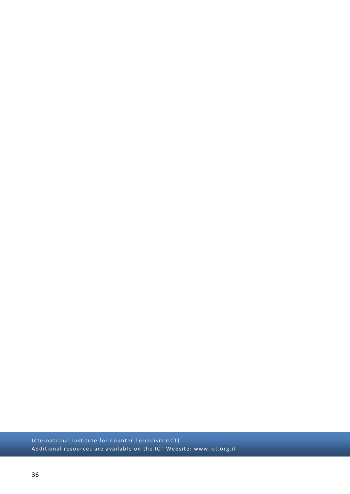Internation al In stitute for Counter Terrorism (ICT) Additional resources are available on the ICT Website: www.ict.org.il